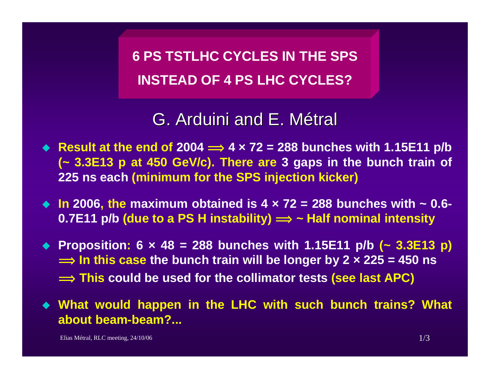**6 PS TSTLHC CYCLES IN THE SPS INSTEAD OF 4 PS LHC CYCLES?**

G. Arduini and E. Métral

- ◆ Result at the end of 2004 ⇒ 4 × 72 = 288 bunches with 1.15E11 p/b **(~ 3.3E13 p at 450 GeV/c). There are 3 gaps in the bunch train of 225 ns each (minimum for the SPS injection kicker)**
- **In 2006, the maximum obtained is 4 × 72 = 288 bunches with ~ 0.6- 0.7E11 p/b (due to a PS H instability) <sup>î</sup> ~ Half nominal intensity**
- **Proposition: 6 × 48 = 288 bunches with 1.15E11 p/b (~ 3.3E13 p)**   $\implies$  In this case the bunch train will be longer by 2  $\times$  225 = 450 ns  $\implies$  This could be used for the collimator tests (see last APC)
- **What would happen in the LHC with such bunch trains? What about beam-beam?...**

Elias Métral, RLC meeting,  $24/10/06$  1/3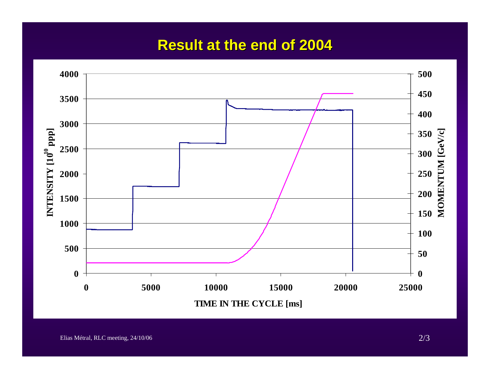## **Result at the end of 2004 Result at the end of 2004**